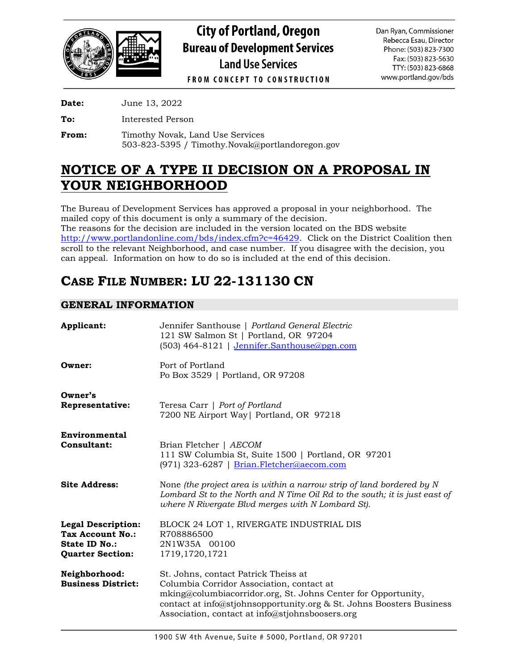

**City of Portland, Oregon Bureau of Development Services Land Use Services** 

Dan Ryan, Commissioner Rebecca Esau, Director Phone: (503) 823-7300 Fax: (503) 823-5630 TTY: (503) 823-6868 www.portland.gov/bds

**FROM CONCEPT TO CONSTRUCTION** 

**Date:** June 13, 2022

**To:** Interested Person

From: Timothy Novak, Land Use Services 503-823-5395 / Timothy.Novak@portlandoregon.gov

# **NOTICE OF A TYPE II DECISION ON A PROPOSAL IN YOUR NEIGHBORHOOD**

The Bureau of Development Services has approved a proposal in your neighborhood. The mailed copy of this document is only a summary of the decision. The reasons for the decision are included in the version located on the BDS website [http://www.portlandonline.com/bds/index.cfm?c=46429.](http://www.portlandonline.com/bds/index.cfm?c=46429) Click on the District Coalition then scroll to the relevant Neighborhood, and case number. If you disagree with the decision, you can appeal. Information on how to do so is included at the end of this decision.

# **CASE FILE NUMBER: LU 22-131130 CN**

## **GENERAL INFORMATION**

| Applicant:                                                                                | Jennifer Santhouse   Portland General Electric<br>121 SW Salmon St   Portland, OR 97204<br>(503) 464-8121   Jennifer.Santhouse@pgn.com                                                                                                                                        |  |  |  |
|-------------------------------------------------------------------------------------------|-------------------------------------------------------------------------------------------------------------------------------------------------------------------------------------------------------------------------------------------------------------------------------|--|--|--|
| Owner:                                                                                    | Port of Portland<br>Po Box 3529   Portland, OR 97208                                                                                                                                                                                                                          |  |  |  |
| Owner's<br>Representative:                                                                | Teresa Carr   Port of Portland<br>7200 NE Airport Way   Portland, OR 97218                                                                                                                                                                                                    |  |  |  |
| Environmental<br>Consultant:                                                              | Brian Fletcher   AECOM<br>111 SW Columbia St, Suite 1500   Portland, OR 97201<br>(971) 323-6287   Brian.Fletcher@aecom.com                                                                                                                                                    |  |  |  |
| <b>Site Address:</b>                                                                      | None (the project area is within a narrow strip of land bordered by $N$<br>Lombard St to the North and N Time Oil Rd to the south; it is just east of<br>where N Rivergate Blvd merges with N Lombard St).                                                                    |  |  |  |
| <b>Legal Description:</b><br>Tax Account No.:<br>State ID No.:<br><b>Quarter Section:</b> | BLOCK 24 LOT 1, RIVERGATE INDUSTRIAL DIS<br>R708886500<br>2N1W35A 00100<br>1719, 1720, 1721                                                                                                                                                                                   |  |  |  |
| Neighborhood:<br><b>Business District:</b>                                                | St. Johns, contact Patrick Theiss at<br>Columbia Corridor Association, contact at<br>mking@columbiacorridor.org, St. Johns Center for Opportunity,<br>contact at info@stjohnsopportunity.org & St. Johns Boosters Business<br>Association, contact at info@stjohnsboosers.org |  |  |  |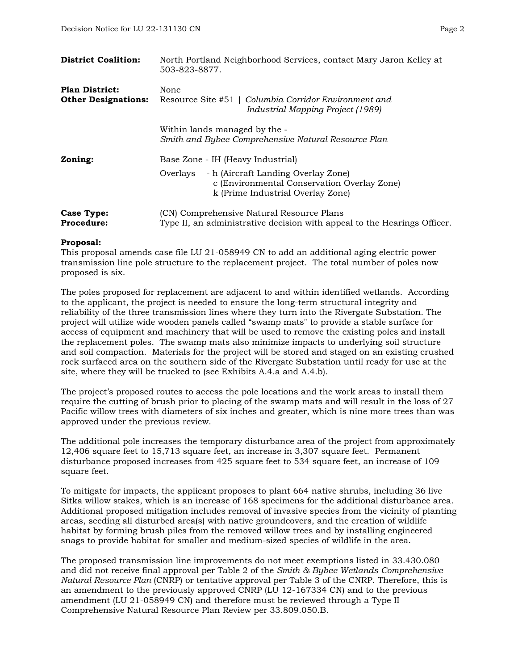| <b>District Coalition:</b>                          | North Portland Neighborhood Services, contact Mary Jaron Kelley at<br>503-823-8877.                                                                                      |
|-----------------------------------------------------|--------------------------------------------------------------------------------------------------------------------------------------------------------------------------|
| <b>Plan District:</b><br><b>Other Designations:</b> | None<br>Resource Site #51   Columbia Corridor Environment and<br>Industrial Mapping Project (1989)                                                                       |
|                                                     | Within lands managed by the -<br>Smith and Bybee Comprehensive Natural Resource Plan                                                                                     |
| Zoning:                                             | Base Zone - IH (Heavy Industrial)<br>- h (Aircraft Landing Overlay Zone)<br>Overlays<br>c (Environmental Conservation Overlay Zone)<br>k (Prime Industrial Overlay Zone) |
| Case Type:<br><b>Procedure:</b>                     | (CN) Comprehensive Natural Resource Plans<br>Type II, an administrative decision with appeal to the Hearings Officer.                                                    |

#### **Proposal:**

This proposal amends case file LU 21-058949 CN to add an additional aging electric power transmission line pole structure to the replacement project. The total number of poles now proposed is six.

The poles proposed for replacement are adjacent to and within identified wetlands. According to the applicant, the project is needed to ensure the long-term structural integrity and reliability of the three transmission lines where they turn into the Rivergate Substation. The project will utilize wide wooden panels called "swamp mats" to provide a stable surface for access of equipment and machinery that will be used to remove the existing poles and install the replacement poles. The swamp mats also minimize impacts to underlying soil structure and soil compaction. Materials for the project will be stored and staged on an existing crushed rock surfaced area on the southern side of the Rivergate Substation until ready for use at the site, where they will be trucked to (see Exhibits A.4.a and A.4.b).

The project's proposed routes to access the pole locations and the work areas to install them require the cutting of brush prior to placing of the swamp mats and will result in the loss of 27 Pacific willow trees with diameters of six inches and greater, which is nine more trees than was approved under the previous review.

The additional pole increases the temporary disturbance area of the project from approximately 12,406 square feet to 15,713 square feet, an increase in 3,307 square feet. Permanent disturbance proposed increases from 425 square feet to 534 square feet, an increase of 109 square feet.

To mitigate for impacts, the applicant proposes to plant 664 native shrubs, including 36 live Sitka willow stakes, which is an increase of 168 specimens for the additional disturbance area. Additional proposed mitigation includes removal of invasive species from the vicinity of planting areas, seeding all disturbed area(s) with native groundcovers, and the creation of wildlife habitat by forming brush piles from the removed willow trees and by installing engineered snags to provide habitat for smaller and medium-sized species of wildlife in the area.

The proposed transmission line improvements do not meet exemptions listed in 33.430.080 and did not receive final approval per Table 2 of the *Smith & Bybee Wetlands Comprehensive Natural Resource Plan* (CNRP) or tentative approval per Table 3 of the CNRP. Therefore, this is an amendment to the previously approved CNRP (LU 12-167334 CN) and to the previous amendment (LU 21-058949 CN) and therefore must be reviewed through a Type II Comprehensive Natural Resource Plan Review per 33.809.050.B.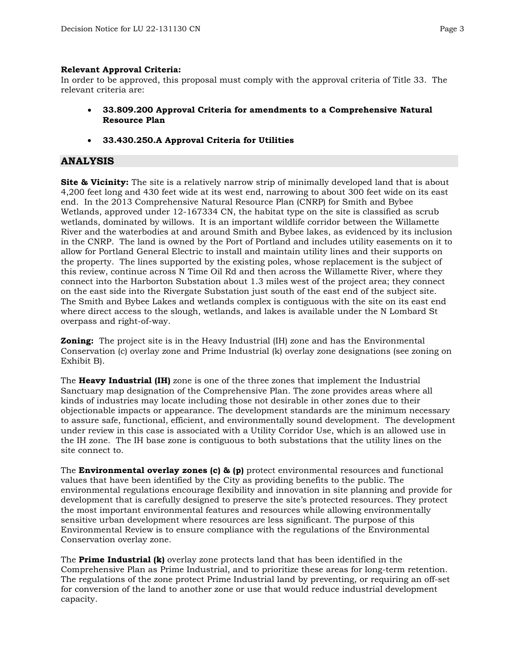#### **Relevant Approval Criteria:**

In order to be approved, this proposal must comply with the approval criteria of Title 33. The relevant criteria are:

- **33.809.200 Approval Criteria for amendments to a Comprehensive Natural Resource Plan**
- **33.430.250.A Approval Criteria for Utilities**

## **ANALYSIS**

**Site & Vicinity:** The site is a relatively narrow strip of minimally developed land that is about 4,200 feet long and 430 feet wide at its west end, narrowing to about 300 feet wide on its east end. In the 2013 Comprehensive Natural Resource Plan (CNRP) for Smith and Bybee Wetlands, approved under 12-167334 CN, the habitat type on the site is classified as scrub wetlands, dominated by willows. It is an important wildlife corridor between the Willamette River and the waterbodies at and around Smith and Bybee lakes, as evidenced by its inclusion in the CNRP. The land is owned by the Port of Portland and includes utility easements on it to allow for Portland General Electric to install and maintain utility lines and their supports on the property. The lines supported by the existing poles, whose replacement is the subject of this review, continue across N Time Oil Rd and then across the Willamette River, where they connect into the Harborton Substation about 1.3 miles west of the project area; they connect on the east side into the Rivergate Substation just south of the east end of the subject site. The Smith and Bybee Lakes and wetlands complex is contiguous with the site on its east end where direct access to the slough, wetlands, and lakes is available under the N Lombard St overpass and right-of-way.

**Zoning:** The project site is in the Heavy Industrial (IH) zone and has the Environmental Conservation (c) overlay zone and Prime Industrial (k) overlay zone designations (see zoning on Exhibit B).

The **Heavy Industrial (IH)** zone is one of the three zones that implement the Industrial Sanctuary map designation of the Comprehensive Plan. The zone provides areas where all kinds of industries may locate including those not desirable in other zones due to their objectionable impacts or appearance. The development standards are the minimum necessary to assure safe, functional, efficient, and environmentally sound development. The development under review in this case is associated with a Utility Corridor Use, which is an allowed use in the IH zone. The IH base zone is contiguous to both substations that the utility lines on the site connect to.

The **Environmental overlay zones (c) & (p)** protect environmental resources and functional values that have been identified by the City as providing benefits to the public. The environmental regulations encourage flexibility and innovation in site planning and provide for development that is carefully designed to preserve the site's protected resources. They protect the most important environmental features and resources while allowing environmentally sensitive urban development where resources are less significant. The purpose of this Environmental Review is to ensure compliance with the regulations of the Environmental Conservation overlay zone.

The **Prime Industrial (k)** overlay zone protects land that has been identified in the Comprehensive Plan as Prime Industrial, and to prioritize these areas for long-term retention. The regulations of the zone protect Prime Industrial land by preventing, or requiring an off-set for conversion of the land to another zone or use that would reduce industrial development capacity.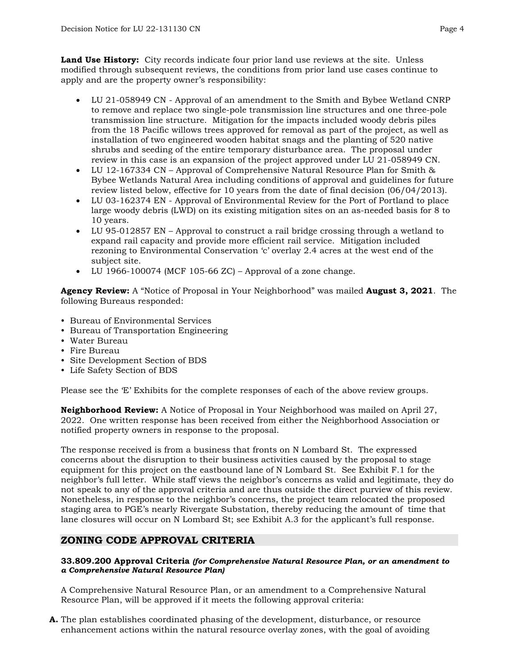**Land Use History:** City records indicate four prior land use reviews at the site. Unless modified through subsequent reviews, the conditions from prior land use cases continue to apply and are the property owner's responsibility:

- LU 21-058949 CN Approval of an amendment to the Smith and Bybee Wetland CNRP to remove and replace two single-pole transmission line structures and one three-pole transmission line structure. Mitigation for the impacts included woody debris piles from the 18 Pacific willows trees approved for removal as part of the project, as well as installation of two engineered wooden habitat snags and the planting of 520 native shrubs and seeding of the entire temporary disturbance area. The proposal under review in this case is an expansion of the project approved under LU 21-058949 CN.
- LU 12-167334 CN Approval of Comprehensive Natural Resource Plan for Smith & Bybee Wetlands Natural Area including conditions of approval and guidelines for future review listed below, effective for 10 years from the date of final decision (06/04/2013).
- LU 03-162374 EN Approval of Environmental Review for the Port of Portland to place large woody debris (LWD) on its existing mitigation sites on an as-needed basis for 8 to 10 years.
- LU 95-012857 EN Approval to construct a rail bridge crossing through a wetland to expand rail capacity and provide more efficient rail service. Mitigation included rezoning to Environmental Conservation 'c' overlay 2.4 acres at the west end of the subject site.
- LU 1966-100074 (MCF 105-66 ZC) Approval of a zone change.

**Agency Review:** A "Notice of Proposal in Your Neighborhood" was mailed **August 3, 2021**. The following Bureaus responded:

- Bureau of Environmental Services
- Bureau of Transportation Engineering
- Water Bureau
- Fire Bureau
- Site Development Section of BDS
- Life Safety Section of BDS

Please see the 'E' Exhibits for the complete responses of each of the above review groups.

**Neighborhood Review:** A Notice of Proposal in Your Neighborhood was mailed on April 27, 2022. One written response has been received from either the Neighborhood Association or notified property owners in response to the proposal.

The response received is from a business that fronts on N Lombard St. The expressed concerns about the disruption to their business activities caused by the proposal to stage equipment for this project on the eastbound lane of N Lombard St. See Exhibit F.1 for the neighbor's full letter. While staff views the neighbor's concerns as valid and legitimate, they do not speak to any of the approval criteria and are thus outside the direct purview of this review. Nonetheless, in response to the neighbor's concerns, the project team relocated the proposed staging area to PGE's nearly Rivergate Substation, thereby reducing the amount of time that lane closures will occur on N Lombard St; see Exhibit A.3 for the applicant's full response.

## **ZONING CODE APPROVAL CRITERIA**

#### **33.809.200 Approval Criteria** *(for Comprehensive Natural Resource Plan, or an amendment to a Comprehensive Natural Resource Plan)*

A Comprehensive Natural Resource Plan, or an amendment to a Comprehensive Natural Resource Plan, will be approved if it meets the following approval criteria:

**A.** The plan establishes coordinated phasing of the development, disturbance, or resource enhancement actions within the natural resource overlay zones, with the goal of avoiding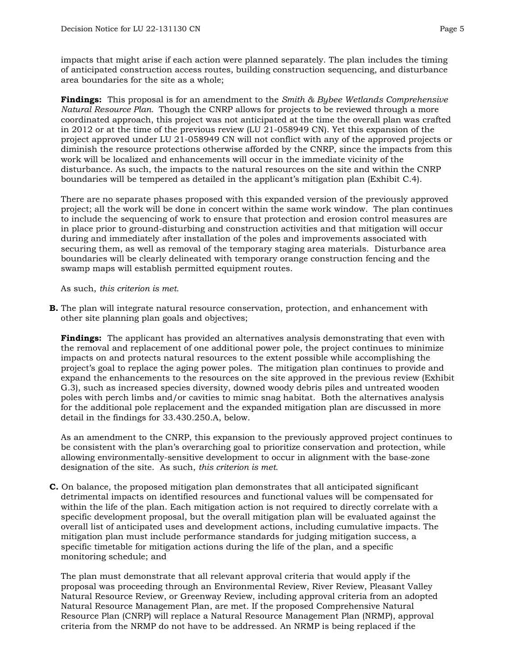impacts that might arise if each action were planned separately. The plan includes the timing of anticipated construction access routes, building construction sequencing, and disturbance area boundaries for the site as a whole;

**Findings:** This proposal is for an amendment to the *Smith & Bybee Wetlands Comprehensive Natural Resource Plan.* Though the CNRP allows for projects to be reviewed through a more coordinated approach, this project was not anticipated at the time the overall plan was crafted in 2012 or at the time of the previous review (LU 21-058949 CN). Yet this expansion of the project approved under LU 21-058949 CN will not conflict with any of the approved projects or diminish the resource protections otherwise afforded by the CNRP, since the impacts from this work will be localized and enhancements will occur in the immediate vicinity of the disturbance. As such, the impacts to the natural resources on the site and within the CNRP boundaries will be tempered as detailed in the applicant's mitigation plan (Exhibit C.4).

There are no separate phases proposed with this expanded version of the previously approved project; all the work will be done in concert within the same work window. The plan continues to include the sequencing of work to ensure that protection and erosion control measures are in place prior to ground-disturbing and construction activities and that mitigation will occur during and immediately after installation of the poles and improvements associated with securing them, as well as removal of the temporary staging area materials. Disturbance area boundaries will be clearly delineated with temporary orange construction fencing and the swamp maps will establish permitted equipment routes.

As such, *this criterion is met.*

**B.** The plan will integrate natural resource conservation, protection, and enhancement with other site planning plan goals and objectives;

**Findings:** The applicant has provided an alternatives analysis demonstrating that even with the removal and replacement of one additional power pole, the project continues to minimize impacts on and protects natural resources to the extent possible while accomplishing the project's goal to replace the aging power poles. The mitigation plan continues to provide and expand the enhancements to the resources on the site approved in the previous review (Exhibit G.3), such as increased species diversity, downed woody debris piles and untreated wooden poles with perch limbs and/or cavities to mimic snag habitat. Both the alternatives analysis for the additional pole replacement and the expanded mitigation plan are discussed in more detail in the findings for 33.430.250.A, below.

As an amendment to the CNRP, this expansion to the previously approved project continues to be consistent with the plan's overarching goal to prioritize conservation and protection, while allowing environmentally-sensitive development to occur in alignment with the base-zone designation of the site. As such, *this criterion is met.*

**C.** On balance, the proposed mitigation plan demonstrates that all anticipated significant detrimental impacts on identified resources and functional values will be compensated for within the life of the plan. Each mitigation action is not required to directly correlate with a specific development proposal, but the overall mitigation plan will be evaluated against the overall list of anticipated uses and development actions, including cumulative impacts. The mitigation plan must include performance standards for judging mitigation success, a specific timetable for mitigation actions during the life of the plan, and a specific monitoring schedule; and

The plan must demonstrate that all relevant approval criteria that would apply if the proposal was proceeding through an Environmental Review, River Review, Pleasant Valley Natural Resource Review, or Greenway Review, including approval criteria from an adopted Natural Resource Management Plan, are met. If the proposed Comprehensive Natural Resource Plan (CNRP) will replace a Natural Resource Management Plan (NRMP), approval criteria from the NRMP do not have to be addressed. An NRMP is being replaced if the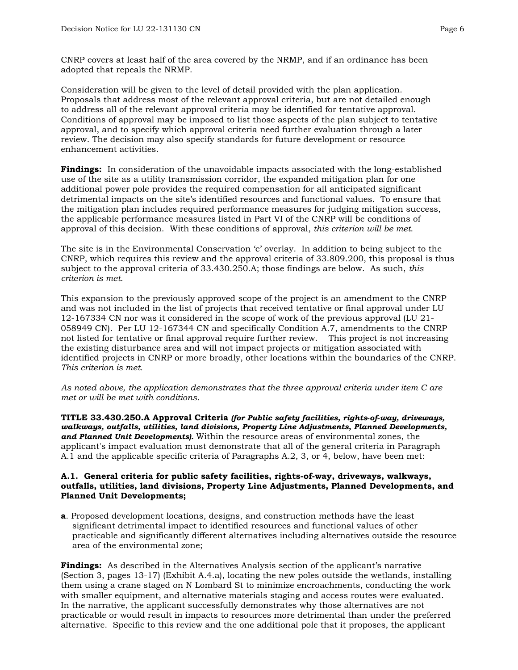CNRP covers at least half of the area covered by the NRMP, and if an ordinance has been adopted that repeals the NRMP.

Consideration will be given to the level of detail provided with the plan application. Proposals that address most of the relevant approval criteria, but are not detailed enough to address all of the relevant approval criteria may be identified for tentative approval. Conditions of approval may be imposed to list those aspects of the plan subject to tentative approval, and to specify which approval criteria need further evaluation through a later review. The decision may also specify standards for future development or resource enhancement activities.

**Findings:** In consideration of the unavoidable impacts associated with the long-established use of the site as a utility transmission corridor, the expanded mitigation plan for one additional power pole provides the required compensation for all anticipated significant detrimental impacts on the site's identified resources and functional values. To ensure that the mitigation plan includes required performance measures for judging mitigation success, the applicable performance measures listed in Part VI of the CNRP will be conditions of approval of this decision. With these conditions of approval, *this criterion will be met*.

The site is in the Environmental Conservation 'c' overlay. In addition to being subject to the CNRP, which requires this review and the approval criteria of 33.809.200, this proposal is thus subject to the approval criteria of 33.430.250.A; those findings are below. As such, *this criterion is met*.

This expansion to the previously approved scope of the project is an amendment to the CNRP and was not included in the list of projects that received tentative or final approval under LU 12-167334 CN nor was it considered in the scope of work of the previous approval (LU 21- 058949 CN). Per LU 12-167344 CN and specifically Condition A.7, amendments to the CNRP not listed for tentative or final approval require further review. This project is not increasing the existing disturbance area and will not impact projects or mitigation associated with identified projects in CNRP or more broadly, other locations within the boundaries of the CNRP. *This criterion is met.*

*As noted above, the application demonstrates that the three approval criteria under item C are met or will be met with conditions.* 

**TITLE 33.430.250.A Approval Criteria** *(for Public safety facilities, rights‐of‐way, driveways, walkways, outfalls, utilities, land divisions, Property Line Adjustments, Planned Developments, and Planned Unit Developments).* Within the resource areas of environmental zones, the applicant's impact evaluation must demonstrate that all of the general criteria in Paragraph A.1 and the applicable specific criteria of Paragraphs A.2, 3, or 4, below, have been met:

#### **A.1. General criteria for public safety facilities, rights-of-way, driveways, walkways, outfalls, utilities, land divisions, Property Line Adjustments, Planned Developments, and Planned Unit Developments;**

**a**. Proposed development locations, designs, and construction methods have the least significant detrimental impact to identified resources and functional values of other practicable and significantly different alternatives including alternatives outside the resource area of the environmental zone;

**Findings:** As described in the Alternatives Analysis section of the applicant's narrative (Section 3, pages 13-17) (Exhibit A.4.a), locating the new poles outside the wetlands, installing them using a crane staged on N Lombard St to minimize encroachments, conducting the work with smaller equipment, and alternative materials staging and access routes were evaluated. In the narrative, the applicant successfully demonstrates why those alternatives are not practicable or would result in impacts to resources more detrimental than under the preferred alternative. Specific to this review and the one additional pole that it proposes, the applicant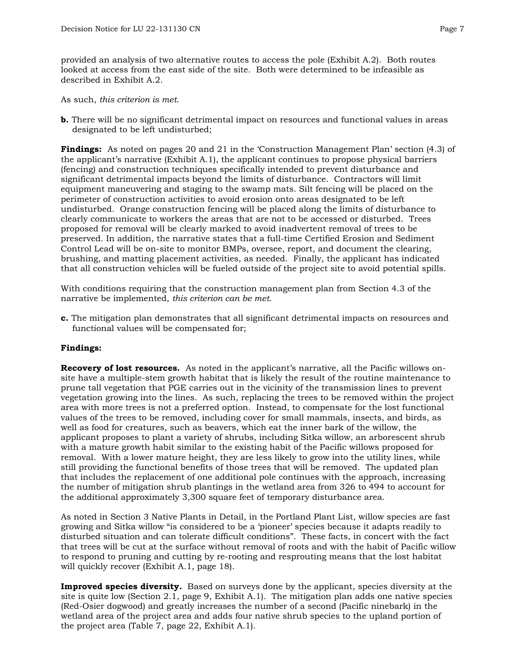provided an analysis of two alternative routes to access the pole (Exhibit A.2). Both routes looked at access from the east side of the site. Both were determined to be infeasible as described in Exhibit A.2.

As such, *this criterion is met.* 

**b.** There will be no significant detrimental impact on resources and functional values in areas designated to be left undisturbed;

**Findings:** As noted on pages 20 and 21 in the 'Construction Management Plan' section (4.3) of the applicant's narrative (Exhibit A.1), the applicant continues to propose physical barriers (fencing) and construction techniques specifically intended to prevent disturbance and significant detrimental impacts beyond the limits of disturbance. Contractors will limit equipment maneuvering and staging to the swamp mats. Silt fencing will be placed on the perimeter of construction activities to avoid erosion onto areas designated to be left undisturbed. Orange construction fencing will be placed along the limits of disturbance to clearly communicate to workers the areas that are not to be accessed or disturbed. Trees proposed for removal will be clearly marked to avoid inadvertent removal of trees to be preserved. In addition, the narrative states that a full-time Certified Erosion and Sediment Control Lead will be on-site to monitor BMPs, oversee, report, and document the clearing, brushing, and matting placement activities, as needed. Finally, the applicant has indicated that all construction vehicles will be fueled outside of the project site to avoid potential spills.

With conditions requiring that the construction management plan from Section 4.3 of the narrative be implemented, *this criterion can be met*.

**c.** The mitigation plan demonstrates that all significant detrimental impacts on resources and functional values will be compensated for;

#### **Findings:**

**Recovery of lost resources.** As noted in the applicant's narrative, all the Pacific willows onsite have a multiple-stem growth habitat that is likely the result of the routine maintenance to prune tall vegetation that PGE carries out in the vicinity of the transmission lines to prevent vegetation growing into the lines. As such, replacing the trees to be removed within the project area with more trees is not a preferred option. Instead, to compensate for the lost functional values of the trees to be removed, including cover for small mammals, insects, and birds, as well as food for creatures, such as beavers, which eat the inner bark of the willow, the applicant proposes to plant a variety of shrubs, including Sitka willow, an arborescent shrub with a mature growth habit similar to the existing habit of the Pacific willows proposed for removal. With a lower mature height, they are less likely to grow into the utility lines, while still providing the functional benefits of those trees that will be removed. The updated plan that includes the replacement of one additional pole continues with the approach, increasing the number of mitigation shrub plantings in the wetland area from 326 to 494 to account for the additional approximately 3,300 square feet of temporary disturbance area.

As noted in Section 3 Native Plants in Detail, in the Portland Plant List, willow species are fast growing and Sitka willow "is considered to be a 'pioneer' species because it adapts readily to disturbed situation and can tolerate difficult conditions". These facts, in concert with the fact that trees will be cut at the surface without removal of roots and with the habit of Pacific willow to respond to pruning and cutting by re-rooting and resprouting means that the lost habitat will quickly recover (Exhibit A.1, page 18).

**Improved species diversity.** Based on surveys done by the applicant, species diversity at the site is quite low (Section 2.1, page 9, Exhibit A.1). The mitigation plan adds one native species (Red-Osier dogwood) and greatly increases the number of a second (Pacific ninebark) in the wetland area of the project area and adds four native shrub species to the upland portion of the project area (Table 7, page 22, Exhibit A.1).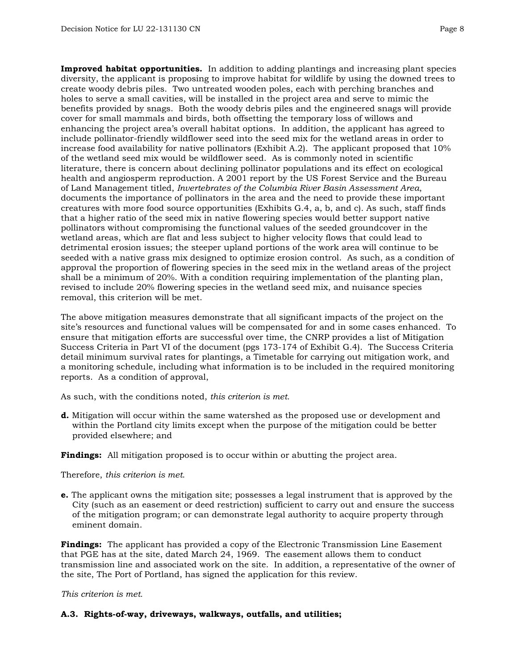**Improved habitat opportunities.** In addition to adding plantings and increasing plant species diversity, the applicant is proposing to improve habitat for wildlife by using the downed trees to create woody debris piles. Two untreated wooden poles, each with perching branches and holes to serve a small cavities, will be installed in the project area and serve to mimic the benefits provided by snags. Both the woody debris piles and the engineered snags will provide cover for small mammals and birds, both offsetting the temporary loss of willows and enhancing the project area's overall habitat options. In addition, the applicant has agreed to include pollinator-friendly wildflower seed into the seed mix for the wetland areas in order to increase food availability for native pollinators (Exhibit A.2). The applicant proposed that 10% of the wetland seed mix would be wildflower seed. As is commonly noted in scientific literature, there is concern about declining pollinator populations and its effect on ecological health and angiosperm reproduction. A 2001 report by the US Forest Service and the Bureau of Land Management titled, *Invertebrates of the Columbia River Basin Assessment Area*, documents the importance of pollinators in the area and the need to provide these important creatures with more food source opportunities (Exhibits G.4, a, b, and c). As such, staff finds that a higher ratio of the seed mix in native flowering species would better support native pollinators without compromising the functional values of the seeded groundcover in the wetland areas, which are flat and less subject to higher velocity flows that could lead to detrimental erosion issues; the steeper upland portions of the work area will continue to be seeded with a native grass mix designed to optimize erosion control. As such, as a condition of approval the proportion of flowering species in the seed mix in the wetland areas of the project shall be a minimum of 20%. With a condition requiring implementation of the planting plan, revised to include 20% flowering species in the wetland seed mix, and nuisance species removal, this criterion will be met.

The above mitigation measures demonstrate that all significant impacts of the project on the site's resources and functional values will be compensated for and in some cases enhanced. To ensure that mitigation efforts are successful over time, the CNRP provides a list of Mitigation Success Criteria in Part VI of the document (pgs 173-174 of Exhibit G.4). The Success Criteria detail minimum survival rates for plantings, a Timetable for carrying out mitigation work, and a monitoring schedule, including what information is to be included in the required monitoring reports. As a condition of approval,

As such, with the conditions noted, *this criterion is met.*

**d.** Mitigation will occur within the same watershed as the proposed use or development and within the Portland city limits except when the purpose of the mitigation could be better provided elsewhere; and

**Findings:** All mitigation proposed is to occur within or abutting the project area.

Therefore, *this criterion is met*.

**e.** The applicant owns the mitigation site; possesses a legal instrument that is approved by the City (such as an easement or deed restriction) sufficient to carry out and ensure the success of the mitigation program; or can demonstrate legal authority to acquire property through eminent domain.

**Findings:** The applicant has provided a copy of the Electronic Transmission Line Easement that PGE has at the site, dated March 24, 1969. The easement allows them to conduct transmission line and associated work on the site. In addition, a representative of the owner of the site, The Port of Portland, has signed the application for this review.

*This criterion is met.*

#### **A.3. Rights-of-way, driveways, walkways, outfalls, and utilities;**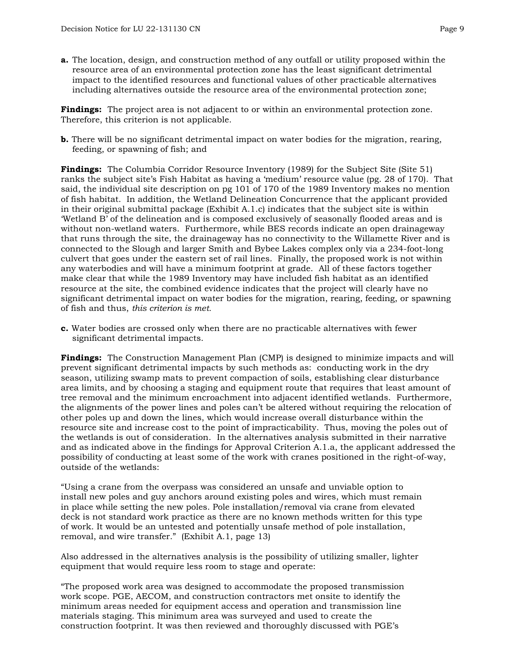**a.** The location, design, and construction method of any outfall or utility proposed within the resource area of an environmental protection zone has the least significant detrimental impact to the identified resources and functional values of other practicable alternatives including alternatives outside the resource area of the environmental protection zone;

**Findings:** The project area is not adjacent to or within an environmental protection zone. Therefore, this criterion is not applicable.

**b.** There will be no significant detrimental impact on water bodies for the migration, rearing, feeding, or spawning of fish; and

**Findings:** The Columbia Corridor Resource Inventory (1989) for the Subject Site (Site 51) ranks the subject site's Fish Habitat as having a 'medium' resource value (pg. 28 of 170). That said, the individual site description on pg 101 of 170 of the 1989 Inventory makes no mention of fish habitat. In addition, the Wetland Delineation Concurrence that the applicant provided in their original submittal package (Exhibit A.1.c) indicates that the subject site is within 'Wetland B' of the delineation and is composed exclusively of seasonally flooded areas and is without non-wetland waters. Furthermore, while BES records indicate an open drainageway that runs through the site, the drainageway has no connectivity to the Willamette River and is connected to the Slough and larger Smith and Bybee Lakes complex only via a 234-foot-long culvert that goes under the eastern set of rail lines. Finally, the proposed work is not within any waterbodies and will have a minimum footprint at grade. All of these factors together make clear that while the 1989 Inventory may have included fish habitat as an identified resource at the site, the combined evidence indicates that the project will clearly have no significant detrimental impact on water bodies for the migration, rearing, feeding, or spawning of fish and thus, *this criterion is met.* 

**c.** Water bodies are crossed only when there are no practicable alternatives with fewer significant detrimental impacts.

**Findings:** The Construction Management Plan (CMP) is designed to minimize impacts and will prevent significant detrimental impacts by such methods as: conducting work in the dry season, utilizing swamp mats to prevent compaction of soils, establishing clear disturbance area limits, and by choosing a staging and equipment route that requires that least amount of tree removal and the minimum encroachment into adjacent identified wetlands. Furthermore, the alignments of the power lines and poles can't be altered without requiring the relocation of other poles up and down the lines, which would increase overall disturbance within the resource site and increase cost to the point of impracticability. Thus, moving the poles out of the wetlands is out of consideration.In the alternatives analysis submitted in their narrative and as indicated above in the findings for Approval Criterion A.1.a, the applicant addressed the possibility of conducting at least some of the work with cranes positioned in the right-of-way, outside of the wetlands:

"Using a crane from the overpass was considered an unsafe and unviable option to install new poles and guy anchors around existing poles and wires, which must remain in place while setting the new poles. Pole installation/removal via crane from elevated deck is not standard work practice as there are no known methods written for this type of work. It would be an untested and potentially unsafe method of pole installation, removal, and wire transfer." (Exhibit A.1, page 13)

Also addressed in the alternatives analysis is the possibility of utilizing smaller, lighter equipment that would require less room to stage and operate:

"The proposed work area was designed to accommodate the proposed transmission work scope. PGE, AECOM, and construction contractors met onsite to identify the minimum areas needed for equipment access and operation and transmission line materials staging. This minimum area was surveyed and used to create the construction footprint. It was then reviewed and thoroughly discussed with PGE's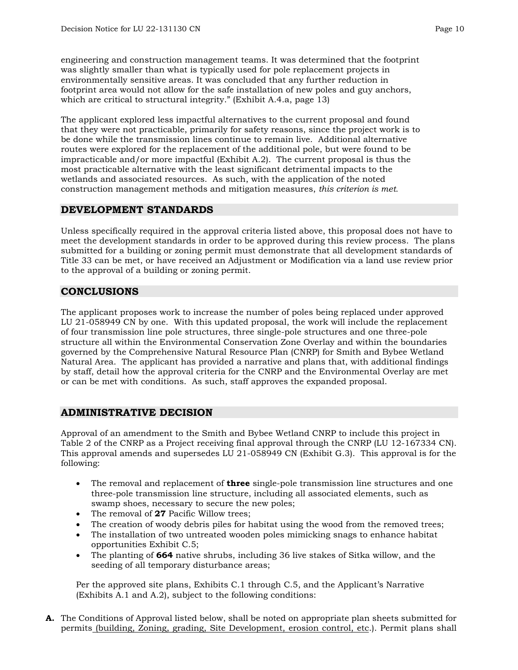engineering and construction management teams. It was determined that the footprint was slightly smaller than what is typically used for pole replacement projects in environmentally sensitive areas. It was concluded that any further reduction in footprint area would not allow for the safe installation of new poles and guy anchors, which are critical to structural integrity." (Exhibit A.4.a, page 13)

The applicant explored less impactful alternatives to the current proposal and found that they were not practicable, primarily for safety reasons, since the project work is to be done while the transmission lines continue to remain live. Additional alternative routes were explored for the replacement of the additional pole, but were found to be impracticable and/or more impactful (Exhibit A.2). The current proposal is thus the most practicable alternative with the least significant detrimental impacts to the wetlands and associated resources. As such, with the application of the noted construction management methods and mitigation measures, *this criterion is met.* 

## **DEVELOPMENT STANDARDS**

Unless specifically required in the approval criteria listed above, this proposal does not have to meet the development standards in order to be approved during this review process. The plans submitted for a building or zoning permit must demonstrate that all development standards of Title 33 can be met, or have received an Adjustment or Modification via a land use review prior to the approval of a building or zoning permit.

## **CONCLUSIONS**

The applicant proposes work to increase the number of poles being replaced under approved LU 21-058949 CN by one. With this updated proposal, the work will include the replacement of four transmission line pole structures, three single-pole structures and one three-pole structure all within the Environmental Conservation Zone Overlay and within the boundaries governed by the Comprehensive Natural Resource Plan (CNRP) for Smith and Bybee Wetland Natural Area. The applicant has provided a narrative and plans that, with additional findings by staff, detail how the approval criteria for the CNRP and the Environmental Overlay are met or can be met with conditions. As such, staff approves the expanded proposal.

## **ADMINISTRATIVE DECISION**

Approval of an amendment to the Smith and Bybee Wetland CNRP to include this project in Table 2 of the CNRP as a Project receiving final approval through the CNRP (LU 12-167334 CN). This approval amends and supersedes LU 21-058949 CN (Exhibit G.3). This approval is for the following:

- The removal and replacement of **three** single-pole transmission line structures and one three-pole transmission line structure, including all associated elements, such as swamp shoes, necessary to secure the new poles;
- The removal of **27** Pacific Willow trees:
- The creation of woody debris piles for habitat using the wood from the removed trees;
- The installation of two untreated wooden poles mimicking snags to enhance habitat opportunities Exhibit C.5;
- The planting of **664** native shrubs, including 36 live stakes of Sitka willow, and the seeding of all temporary disturbance areas;

Per the approved site plans, Exhibits C.1 through C.5, and the Applicant's Narrative (Exhibits A.1 and A.2), subject to the following conditions:

**A.** The Conditions of Approval listed below, shall be noted on appropriate plan sheets submitted for permits (building, Zoning, grading, Site Development, erosion control, etc.). Permit plans shall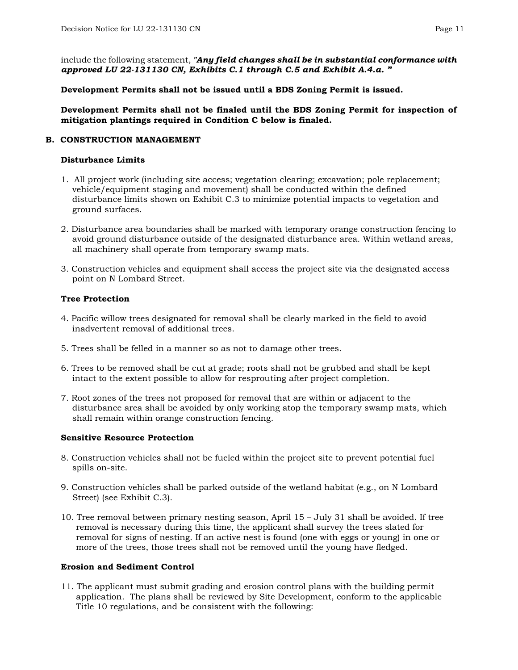include the following statement, *"Any field changes shall be in substantial conformance with approved LU 22-131130 CN, Exhibits C.1 through C.5 and Exhibit A.4.a. "*

**Development Permits shall not be issued until a BDS Zoning Permit is issued.**

**Development Permits shall not be finaled until the BDS Zoning Permit for inspection of mitigation plantings required in Condition C below is finaled.**

#### **B. CONSTRUCTION MANAGEMENT**

#### **Disturbance Limits**

- 1. All project work (including site access; vegetation clearing; excavation; pole replacement; vehicle/equipment staging and movement) shall be conducted within the defined disturbance limits shown on Exhibit C.3 to minimize potential impacts to vegetation and ground surfaces.
- 2. Disturbance area boundaries shall be marked with temporary orange construction fencing to avoid ground disturbance outside of the designated disturbance area. Within wetland areas, all machinery shall operate from temporary swamp mats.
- 3. Construction vehicles and equipment shall access the project site via the designated access point on N Lombard Street.

#### **Tree Protection**

- 4. Pacific willow trees designated for removal shall be clearly marked in the field to avoid inadvertent removal of additional trees.
- 5. Trees shall be felled in a manner so as not to damage other trees.
- 6. Trees to be removed shall be cut at grade; roots shall not be grubbed and shall be kept intact to the extent possible to allow for resprouting after project completion.
- 7. Root zones of the trees not proposed for removal that are within or adjacent to the disturbance area shall be avoided by only working atop the temporary swamp mats, which shall remain within orange construction fencing.

#### **Sensitive Resource Protection**

- 8. Construction vehicles shall not be fueled within the project site to prevent potential fuel spills on-site.
- 9. Construction vehicles shall be parked outside of the wetland habitat (e.g., on N Lombard Street) (see Exhibit C.3).
- 10. Tree removal between primary nesting season, April 15 July 31 shall be avoided. If tree removal is necessary during this time, the applicant shall survey the trees slated for removal for signs of nesting. If an active nest is found (one with eggs or young) in one or more of the trees, those trees shall not be removed until the young have fledged.

#### **Erosion and Sediment Control**

11. The applicant must submit grading and erosion control plans with the building permit application. The plans shall be reviewed by Site Development, conform to the applicable Title 10 regulations, and be consistent with the following: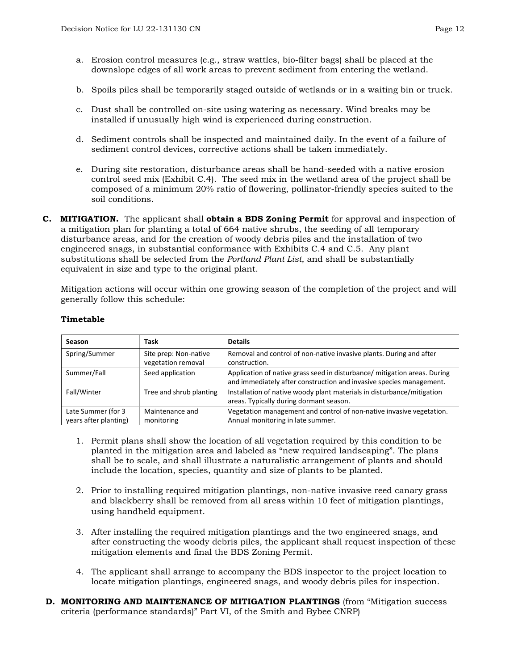- a. Erosion control measures (e.g., straw wattles, bio-filter bags) shall be placed at the downslope edges of all work areas to prevent sediment from entering the wetland.
- b. Spoils piles shall be temporarily staged outside of wetlands or in a waiting bin or truck.
- c. Dust shall be controlled on-site using watering as necessary. Wind breaks may be installed if unusually high wind is experienced during construction.
- d. Sediment controls shall be inspected and maintained daily. In the event of a failure of sediment control devices, corrective actions shall be taken immediately.
- e. During site restoration, disturbance areas shall be hand-seeded with a native erosion control seed mix (Exhibit C.4). The seed mix in the wetland area of the project shall be composed of a minimum 20% ratio of flowering, pollinator-friendly species suited to the soil conditions.
- **C. MITIGATION.** The applicant shall **obtain a BDS Zoning Permit** for approval and inspection of a mitigation plan for planting a total of 664 native shrubs, the seeding of all temporary disturbance areas, and for the creation of woody debris piles and the installation of two engineered snags, in substantial conformance with Exhibits C.4 and C.5. Any plant substitutions shall be selected from the *Portland Plant List*, and shall be substantially equivalent in size and type to the original plant.

Mitigation actions will occur within one growing season of the completion of the project and will generally follow this schedule:

| Season                                      | Task                                        | <b>Details</b>                                                                                                                                   |
|---------------------------------------------|---------------------------------------------|--------------------------------------------------------------------------------------------------------------------------------------------------|
| Spring/Summer                               | Site prep: Non-native<br>vegetation removal | Removal and control of non-native invasive plants. During and after<br>construction.                                                             |
| Summer/Fall                                 | Seed application                            | Application of native grass seed in disturbance/ mitigation areas. During<br>and immediately after construction and invasive species management. |
| Fall/Winter                                 | Tree and shrub planting                     | Installation of native woody plant materials in disturbance/mitigation<br>areas. Typically during dormant season.                                |
| Late Summer (for 3<br>years after planting) | Maintenance and<br>monitoring               | Vegetation management and control of non-native invasive vegetation.<br>Annual monitoring in late summer.                                        |

#### **Timetable**

- 1. Permit plans shall show the location of all vegetation required by this condition to be planted in the mitigation area and labeled as "new required landscaping". The plans shall be to scale, and shall illustrate a naturalistic arrangement of plants and should include the location, species, quantity and size of plants to be planted.
- 2. Prior to installing required mitigation plantings, non-native invasive reed canary grass and blackberry shall be removed from all areas within 10 feet of mitigation plantings, using handheld equipment.
- 3. After installing the required mitigation plantings and the two engineered snags, and after constructing the woody debris piles, the applicant shall request inspection of these mitigation elements and final the BDS Zoning Permit.
- 4. The applicant shall arrange to accompany the BDS inspector to the project location to locate mitigation plantings, engineered snags, and woody debris piles for inspection.
- **D. MONITORING AND MAINTENANCE OF MITIGATION PLANTINGS** (from "Mitigation success criteria (performance standards)" Part VI, of the Smith and Bybee CNRP)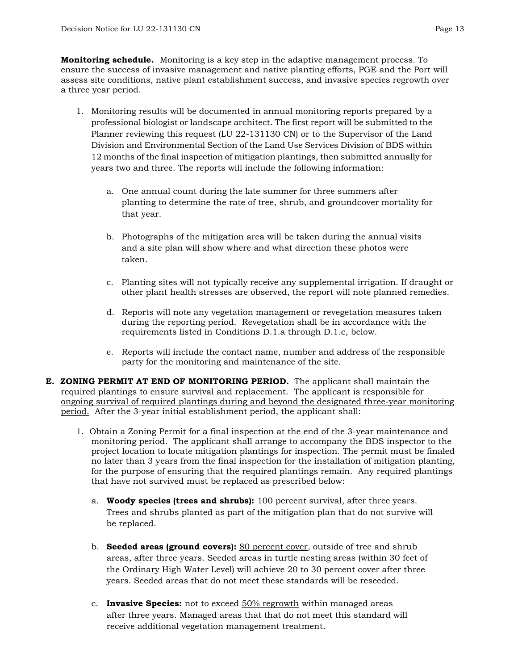**Monitoring schedule.** Monitoring is a key step in the adaptive management process. To ensure the success of invasive management and native planting efforts, PGE and the Port will assess site conditions, native plant establishment success, and invasive species regrowth over a three year period.

- 1. Monitoring results will be documented in annual monitoring reports prepared by a professional biologist or landscape architect. The first report will be submitted to the Planner reviewing this request (LU 22-131130 CN) or to the Supervisor of the Land Division and Environmental Section of the Land Use Services Division of BDS within 12 months of the final inspection of mitigation plantings, then submitted annually for years two and three. The reports will include the following information:
	- a. One annual count during the late summer for three summers after planting to determine the rate of tree, shrub, and groundcover mortality for that year.
	- b. Photographs of the mitigation area will be taken during the annual visits and a site plan will show where and what direction these photos were taken.
	- c. Planting sites will not typically receive any supplemental irrigation. If draught or other plant health stresses are observed, the report will note planned remedies.
	- d. Reports will note any vegetation management or revegetation measures taken during the reporting period. Revegetation shall be in accordance with the requirements listed in Conditions D.1.a through D.1.c, below.
	- e. Reports will include the contact name, number and address of the responsible party for the monitoring and maintenance of the site.
- **E. ZONING PERMIT AT END OF MONITORING PERIOD.** The applicant shall maintain the required plantings to ensure survival and replacement. The applicant is responsible for ongoing survival of required plantings during and beyond the designated three-year monitoring period. After the 3-year initial establishment period, the applicant shall:
	- 1. Obtain a Zoning Permit for a final inspection at the end of the 3-year maintenance and monitoring period. The applicant shall arrange to accompany the BDS inspector to the project location to locate mitigation plantings for inspection. The permit must be finaled no later than 3 years from the final inspection for the installation of mitigation planting, for the purpose of ensuring that the required plantings remain. Any required plantings that have not survived must be replaced as prescribed below:
		- a. **Woody species (trees and shrubs):** 100 percent survival, after three years. Trees and shrubs planted as part of the mitigation plan that do not survive will be replaced.
		- b. **Seeded areas (ground covers):** 80 percent cover, outside of tree and shrub areas, after three years. Seeded areas in turtle nesting areas (within 30 feet of the Ordinary High Water Level) will achieve 20 to 30 percent cover after three years. Seeded areas that do not meet these standards will be reseeded.
		- c. **Invasive Species:** not to exceed 50% regrowth within managed areas after three years. Managed areas that that do not meet this standard will receive additional vegetation management treatment.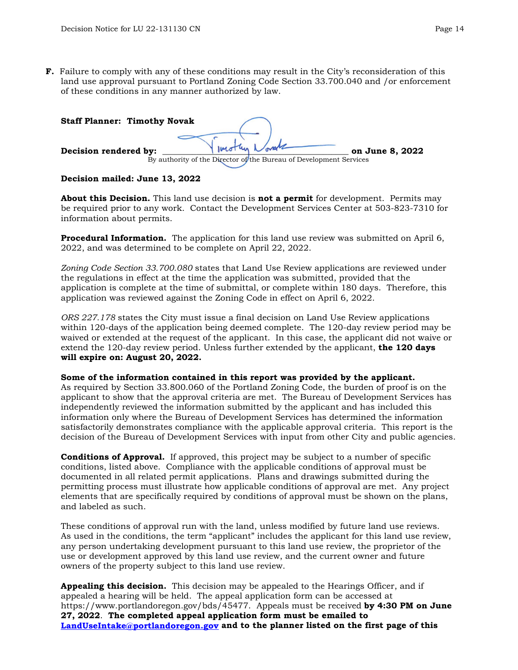**F.** Failure to comply with any of these conditions may result in the City's reconsideration of this land use approval pursuant to Portland Zoning Code Section 33.700.040 and /or enforcement of these conditions in any manner authorized by law.

| <b>Staff Planner: Timothy Novak</b> |                                                                    |                 |
|-------------------------------------|--------------------------------------------------------------------|-----------------|
| Decision rendered by:               |                                                                    | on June 8, 2022 |
|                                     | By authority of the Director of the Bureau of Development Services |                 |

#### **Decision mailed: June 13, 2022**

**About this Decision.** This land use decision is **not a permit** for development. Permits may be required prior to any work. Contact the Development Services Center at 503-823-7310 for information about permits.

**Procedural Information.** The application for this land use review was submitted on April 6, 2022, and was determined to be complete on April 22, 2022.

*Zoning Code Section 33.700.080* states that Land Use Review applications are reviewed under the regulations in effect at the time the application was submitted, provided that the application is complete at the time of submittal, or complete within 180 days. Therefore, this application was reviewed against the Zoning Code in effect on April 6, 2022.

*ORS 227.178* states the City must issue a final decision on Land Use Review applications within 120-days of the application being deemed complete. The 120-day review period may be waived or extended at the request of the applicant. In this case, the applicant did not waive or extend the 120-day review period. Unless further extended by the applicant, **the 120 days will expire on: August 20, 2022.**

#### **Some of the information contained in this report was provided by the applicant.**

As required by Section 33.800.060 of the Portland Zoning Code, the burden of proof is on the applicant to show that the approval criteria are met. The Bureau of Development Services has independently reviewed the information submitted by the applicant and has included this information only where the Bureau of Development Services has determined the information satisfactorily demonstrates compliance with the applicable approval criteria. This report is the decision of the Bureau of Development Services with input from other City and public agencies.

**Conditions of Approval.** If approved, this project may be subject to a number of specific conditions, listed above. Compliance with the applicable conditions of approval must be documented in all related permit applications. Plans and drawings submitted during the permitting process must illustrate how applicable conditions of approval are met. Any project elements that are specifically required by conditions of approval must be shown on the plans, and labeled as such.

These conditions of approval run with the land, unless modified by future land use reviews. As used in the conditions, the term "applicant" includes the applicant for this land use review, any person undertaking development pursuant to this land use review, the proprietor of the use or development approved by this land use review, and the current owner and future owners of the property subject to this land use review.

**Appealing this decision.** This decision may be appealed to the Hearings Officer, and if appealed a hearing will be held. The appeal application form can be accessed at https://www.portlandoregon.gov/bds/45477. Appeals must be received **by 4:30 PM on June 27, 2022**. **The completed appeal application form must be emailed to [LandUseIntake@portlandoregon.gov](mailto:LandUseIntake@portlandoregon.gov) and to the planner listed on the first page of this**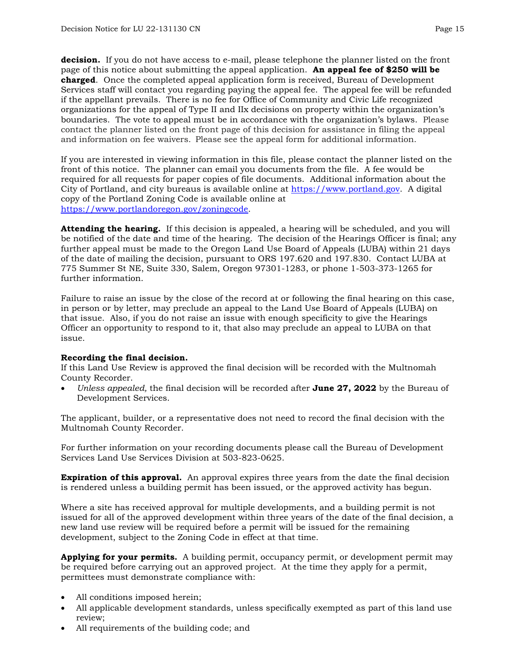**decision.** If you do not have access to e-mail, please telephone the planner listed on the front page of this notice about submitting the appeal application. **An appeal fee of \$250 will be charged**. Once the completed appeal application form is received, Bureau of Development Services staff will contact you regarding paying the appeal fee. The appeal fee will be refunded if the appellant prevails. There is no fee for Office of Community and Civic Life recognized organizations for the appeal of Type II and IIx decisions on property within the organization's boundaries. The vote to appeal must be in accordance with the organization's bylaws. Please contact the planner listed on the front page of this decision for assistance in filing the appeal and information on fee waivers. Please see the appeal form for additional information.

If you are interested in viewing information in this file, please contact the planner listed on the front of this notice. The planner can email you documents from the file. A fee would be required for all requests for paper copies of file documents. Additional information about the City of Portland, and city bureaus is available online at [https://www.portland.gov.](https://www.portland.gov/) A digital copy of the Portland Zoning Code is available online at [https://www.portlandoregon.gov/zoningcode.](https://www.portlandoregon.gov/zoningcode)

**Attending the hearing.** If this decision is appealed, a hearing will be scheduled, and you will be notified of the date and time of the hearing. The decision of the Hearings Officer is final; any further appeal must be made to the Oregon Land Use Board of Appeals (LUBA) within 21 days of the date of mailing the decision, pursuant to ORS 197.620 and 197.830. Contact LUBA at 775 Summer St NE, Suite 330, Salem, Oregon 97301-1283, or phone 1-503-373-1265 for further information.

Failure to raise an issue by the close of the record at or following the final hearing on this case, in person or by letter, may preclude an appeal to the Land Use Board of Appeals (LUBA) on that issue. Also, if you do not raise an issue with enough specificity to give the Hearings Officer an opportunity to respond to it, that also may preclude an appeal to LUBA on that issue.

#### **Recording the final decision.**

If this Land Use Review is approved the final decision will be recorded with the Multnomah County Recorder.

• *Unless appealed,* the final decision will be recorded after **June 27, 2022** by the Bureau of Development Services.

The applicant, builder, or a representative does not need to record the final decision with the Multnomah County Recorder.

For further information on your recording documents please call the Bureau of Development Services Land Use Services Division at 503-823-0625.

**Expiration of this approval.** An approval expires three years from the date the final decision is rendered unless a building permit has been issued, or the approved activity has begun.

Where a site has received approval for multiple developments, and a building permit is not issued for all of the approved development within three years of the date of the final decision, a new land use review will be required before a permit will be issued for the remaining development, subject to the Zoning Code in effect at that time.

**Applying for your permits.** A building permit, occupancy permit, or development permit may be required before carrying out an approved project. At the time they apply for a permit, permittees must demonstrate compliance with:

- All conditions imposed herein;
- All applicable development standards, unless specifically exempted as part of this land use review;
- All requirements of the building code; and